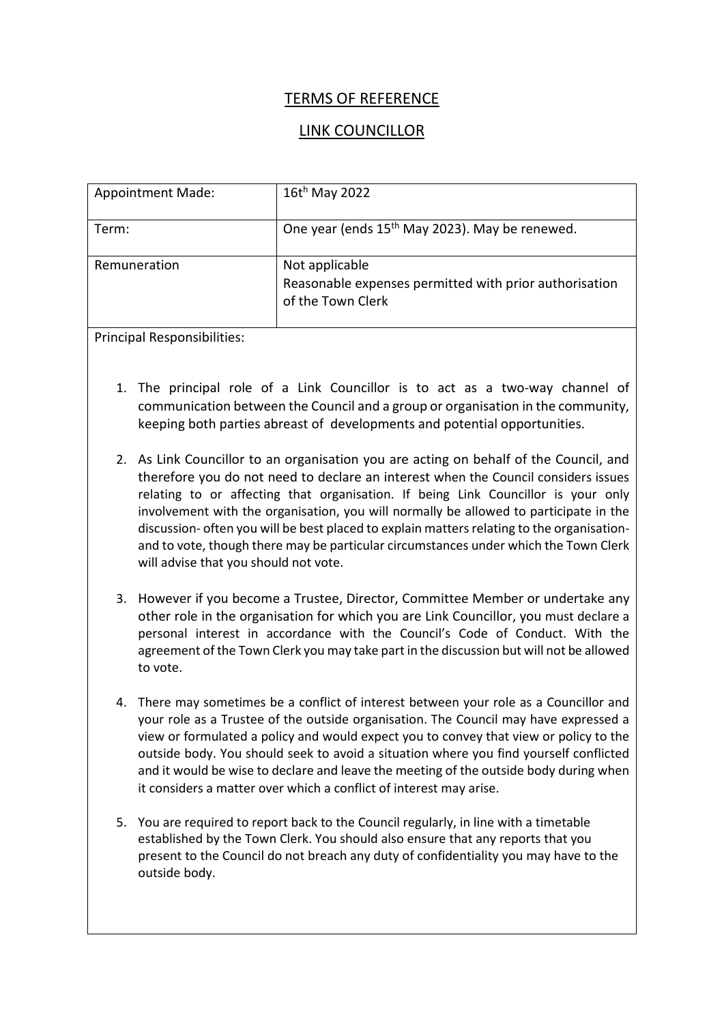## TERMS OF REFERENCE

## LINK COUNCILLOR

| <b>Appointment Made:</b> | $16t^h$ May 2022                                                                              |
|--------------------------|-----------------------------------------------------------------------------------------------|
| Term:                    | One year (ends 15 <sup>th</sup> May 2023). May be renewed.                                    |
| Remuneration             | Not applicable<br>Reasonable expenses permitted with prior authorisation<br>of the Town Clerk |

Principal Responsibilities:

- 1. The principal role of a Link Councillor is to act as a two-way channel of communication between the Council and a group or organisation in the community, keeping both parties abreast of developments and potential opportunities.
- 2. As Link Councillor to an organisation you are acting on behalf of the Council, and therefore you do not need to declare an interest when the Council considers issues relating to or affecting that organisation. If being Link Councillor is your only involvement with the organisation, you will normally be allowed to participate in the discussion- often you will be best placed to explain matters relating to the organisationand to vote, though there may be particular circumstances under which the Town Clerk will advise that you should not vote.
- 3. However if you become a Trustee, Director, Committee Member or undertake any other role in the organisation for which you are Link Councillor, you must declare a personal interest in accordance with the Council's Code of Conduct. With the agreement of the Town Clerk you may take part in the discussion but will not be allowed to vote.
- 4. There may sometimes be a conflict of interest between your role as a Councillor and your role as a Trustee of the outside organisation. The Council may have expressed a view or formulated a policy and would expect you to convey that view or policy to the outside body. You should seek to avoid a situation where you find yourself conflicted and it would be wise to declare and leave the meeting of the outside body during when it considers a matter over which a conflict of interest may arise.
- 5. You are required to report back to the Council regularly, in line with a timetable established by the Town Clerk. You should also ensure that any reports that you present to the Council do not breach any duty of confidentiality you may have to the outside body.